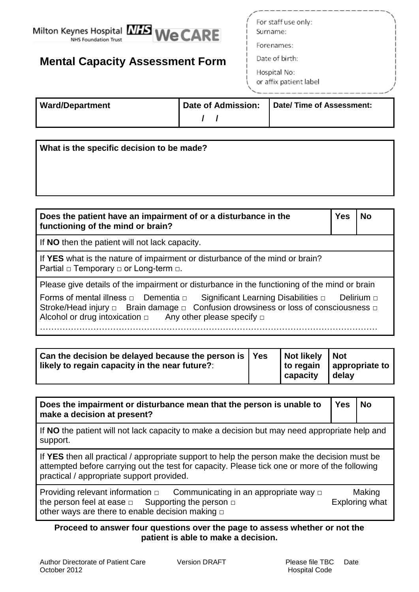

# **Mental Capacity Assessment Form**

For staff use only: Surname:

Forenames:

Date of birth:

Hospital No: or affix patient label

| <b>Ward/Department</b> | Date of Admission: | Date/Time of Assessment: |
|------------------------|--------------------|--------------------------|
|                        |                    |                          |

**What is the specific decision to be made?**

| Does the patient have an impairment of or a disturbance in the<br>functioning of the mind or brain?                                                                                                                                                                                  | <b>Yes</b> | No |
|--------------------------------------------------------------------------------------------------------------------------------------------------------------------------------------------------------------------------------------------------------------------------------------|------------|----|
| If NO then the patient will not lack capacity.                                                                                                                                                                                                                                       |            |    |
| If YES what is the nature of impairment or disturbance of the mind or brain?<br>Partial $\Box$ Temporary $\Box$ or Long-term $\Box$ .                                                                                                                                                |            |    |
| Please give details of the impairment or disturbance in the functioning of the mind or brain                                                                                                                                                                                         |            |    |
| Forms of mental illness $\Box$ Dementia $\Box$ Significant Learning Disabilities $\Box$ Delirium $\Box$<br>Stroke/Head injury $\Box$ Brain damage $\Box$ Confusion drowsiness or loss of consciousness $\Box$<br>Alcohol or drug intoxication $\Box$ Any other please specify $\Box$ |            |    |

…………………………………………………………………………………………………………

| $\vert$ Can the decision be delayed because the person is $\vert$ Yes<br>likely to regain capacity in the near future?: |  | Not likely Not<br>to regain<br>capacity | appropriate to<br>delay |
|-------------------------------------------------------------------------------------------------------------------------|--|-----------------------------------------|-------------------------|
|-------------------------------------------------------------------------------------------------------------------------|--|-----------------------------------------|-------------------------|

**Does the impairment or disturbance mean that the person is unable to make a decision at present? Yes No** If **NO** the patient will not lack capacity to make a decision but may need appropriate help and support. If **YES** then all practical / appropriate support to help the person make the decision must be attempted before carrying out the test for capacity. Please tick one or more of the following practical / appropriate support provided.

Providing relevant information  $\Box$  Communicating in an appropriate way  $\Box$  Making the person feel at ease  $\Box$  Supporting the person  $\Box$  Exploring what other ways are there to enable decision making  $□$ 

### **Proceed to answer four questions over the page to assess whether or not the patient is able to make a decision.**